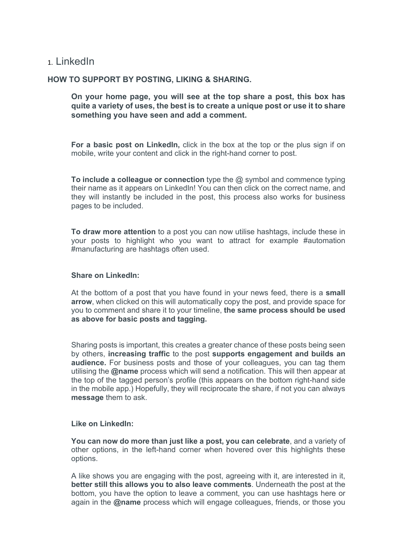# 1. LinkedIn

## **HOW TO SUPPORT BY POSTING, LIKING & SHARING.**

**On your home page, you will see at the top share a post, this box has quite a variety of uses, the best is to create a unique post or use it to share something you have seen and add a comment.**

**For a basic post on LinkedIn,** click in the box at the top or the plus sign if on mobile, write your content and click in the right-hand corner to post.

**To include a colleague or connection** type the @ symbol and commence typing their name as it appears on LinkedIn! You can then click on the correct name, and they will instantly be included in the post, this process also works for business pages to be included.

**To draw more attention** to a post you can now utilise hashtags, include these in your posts to highlight who you want to attract for example #automation #manufacturing are hashtags often used.

#### **Share on LinkedIn:**

At the bottom of a post that you have found in your news feed, there is a **small arrow**, when clicked on this will automatically copy the post, and provide space for you to comment and share it to your timeline, **the same process should be used as above for basic posts and tagging.**

Sharing posts is important, this creates a greater chance of these posts being seen by others, **increasing traffic** to the post **supports engagement and builds an audience.** For business posts and those of your colleagues, you can tag them utilising the **@name** process which will send a notification. This will then appear at the top of the tagged person's profile (this appears on the bottom right-hand side in the mobile app.) Hopefully, they will reciprocate the share, if not you can always **message** them to ask.

#### **Like on LinkedIn:**

**You can now do more than just like a post, you can celebrate**, and a variety of other options, in the left-hand corner when hovered over this highlights these options.

A like shows you are engaging with the post, agreeing with it, are interested in it, **better still this allows you to also leave comments**. Underneath the post at the bottom, you have the option to leave a comment, you can use hashtags here or again in the **@name** process which will engage colleagues, friends, or those you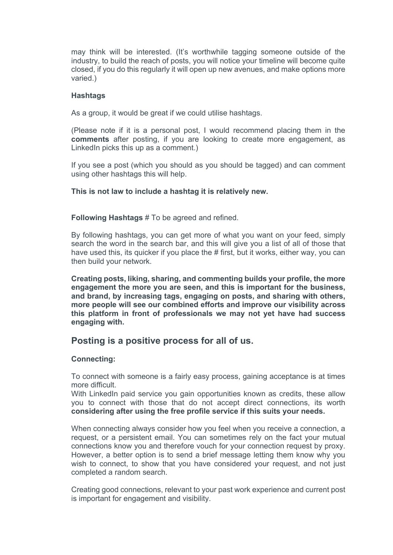may think will be interested. (It's worthwhile tagging someone outside of the industry, to build the reach of posts, you will notice your timeline will become quite closed, if you do this regularly it will open up new avenues, and make options more varied.)

#### **Hashtags**

As a group, it would be great if we could utilise hashtags.

(Please note if it is a personal post, I would recommend placing them in the **comments** after posting, if you are looking to create more engagement, as LinkedIn picks this up as a comment.)

If you see a post (which you should as you should be tagged) and can comment using other hashtags this will help.

### **This is not law to include a hashtag it is relatively new.**

**Following Hashtags** # To be agreed and refined.

By following hashtags, you can get more of what you want on your feed, simply search the word in the search bar, and this will give you a list of all of those that have used this, its quicker if you place the # first, but it works, either way, you can then build your network.

**Creating posts, liking, sharing, and commenting builds your profile, the more engagement the more you are seen, and this is important for the business, and brand, by increasing tags, engaging on posts, and sharing with others, more people will see our combined efforts and improve our visibility across this platform in front of professionals we may not yet have had success engaging with.** 

# **Posting is a positive process for all of us.**

#### **Connecting:**

To connect with someone is a fairly easy process, gaining acceptance is at times more difficult.

With LinkedIn paid service you gain opportunities known as credits, these allow you to connect with those that do not accept direct connections, its worth **considering after using the free profile service if this suits your needs.**

When connecting always consider how you feel when you receive a connection, a request, or a persistent email. You can sometimes rely on the fact your mutual connections know you and therefore vouch for your connection request by proxy. However, a better option is to send a brief message letting them know why you wish to connect, to show that you have considered your request, and not just completed a random search.

Creating good connections, relevant to your past work experience and current post is important for engagement and visibility.